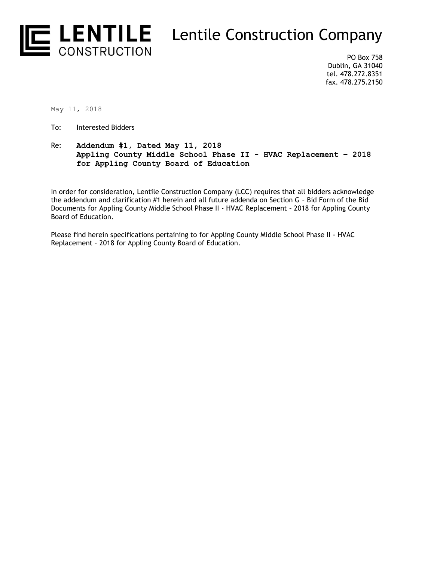

PO Box 758 Dublin, GA 31040 tel. 478.272.8351 fax. 478.275.2150

May 11, 2018

- To: Interested Bidders
- Re: **Addendum #1, Dated May 11, 2018 Appling County Middle School Phase II - HVAC Replacement – 2018 for Appling County Board of Education**

In order for consideration, Lentile Construction Company (LCC) requires that all bidders acknowledge the addendum and clarification #1 herein and all future addenda on Section G - Bid Form of the Bid Documents for Appling County Middle School Phase II - HVAC Replacement – 2018 for Appling County Board of Education.

Please find herein specifications pertaining to for Appling County Middle School Phase II - HVAC Replacement – 2018 for Appling County Board of Education.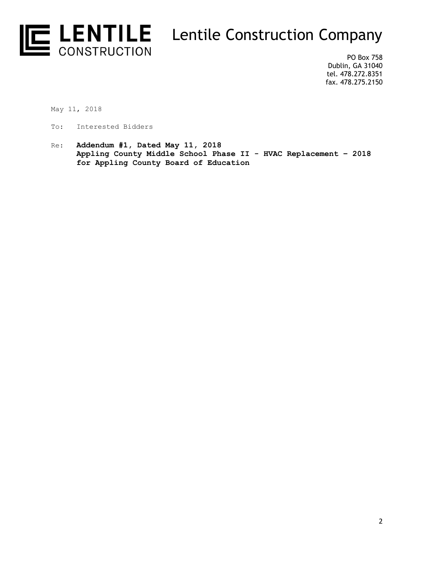

PO Box 758 Dublin, GA 31040 tel. 478.272.8351 fax. 478.275.2150

May 11, 2018

- To: Interested Bidders
- Re: **Addendum #1, Dated May 11, 2018 Appling County Middle School Phase II - HVAC Replacement – 2018 for Appling County Board of Education**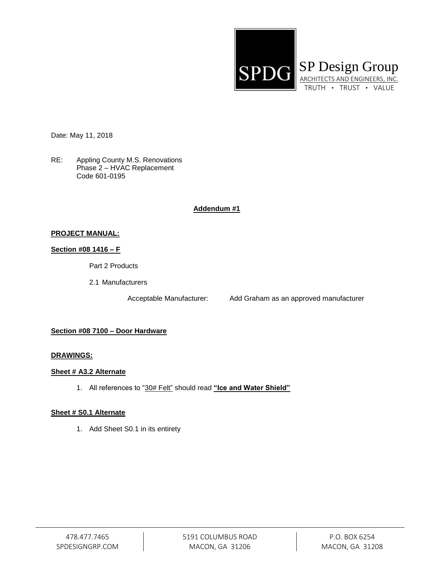

Date: May 11, 2018

RE: Appling County M.S. Renovations Phase 2 – HVAC Replacement Code 601-0195

# **Addendum #1**

### **PROJECT MANUAL:**

### **Section #08 1416 – F**

Part 2 Products

2.1 Manufacturers

Acceptable Manufacturer: Add Graham as an approved manufacturer

# **Section #08 7100 – Door Hardware**

### **DRAWINGS:**

### **Sheet # A3.2 Alternate**

1. All references to "30# Felt" should read **"Ice and Water Shield"**

### **Sheet # S0.1 Alternate**

1. Add Sheet S0.1 in its entirety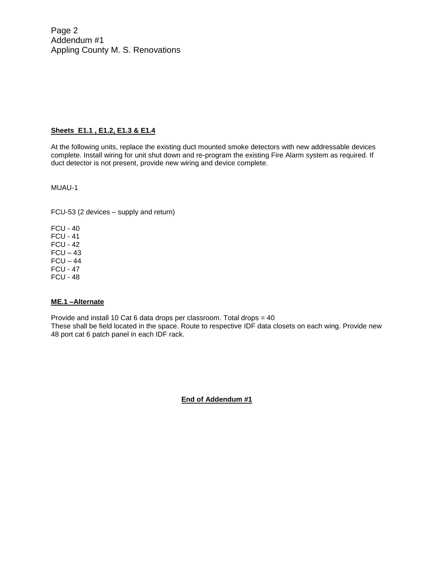Page 2 Addendum #1 Appling County M. S. Renovations

# **Sheets E1.1 , E1.2, E1.3 & E1.4**

At the following units, replace the existing duct mounted smoke detectors with new addressable devices complete. Install wiring for unit shut down and re-program the existing Fire Alarm system as required. If duct detector is not present, provide new wiring and device complete.

MUAU-1

FCU-53 (2 devices – supply and return)

FCU - 40 FCU - 41 FCU - 42  $FCU - 43$  $FCU - 44$ FCU - 47 FCU - 48

### **ME.1 –Alternate**

Provide and install 10 Cat 6 data drops per classroom. Total drops = 40 These shall be field located in the space. Route to respective IDF data closets on each wing. Provide new 48 port cat 6 patch panel in each IDF rack.

**End of Addendum #1**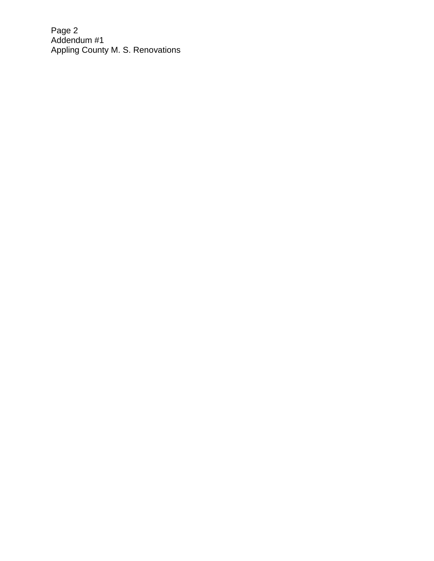Page 2 Addendum #1 Appling County M. S. Renovations